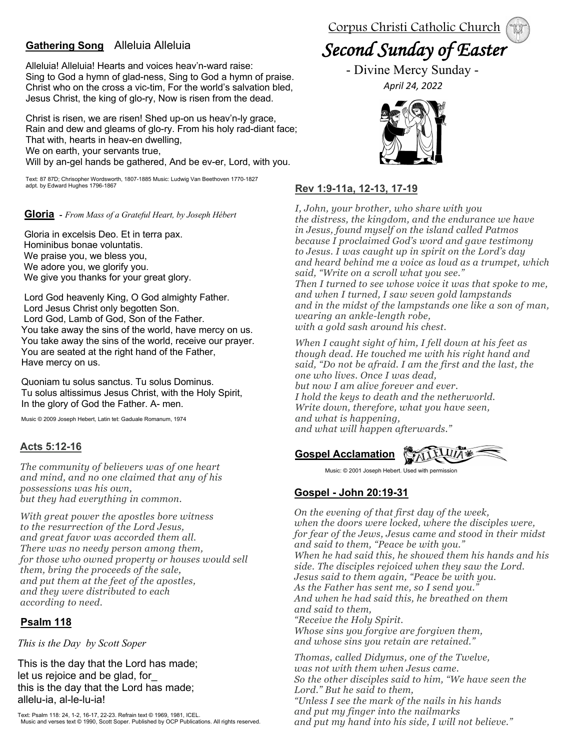#### **Gathering Song** Alleluia Alleluia

Alleluia! Alleluia! Hearts and voices heav'n-ward raise: Sing to God a hymn of glad-ness, Sing to God a hymn of praise. Christ who on the cross a vic-tim, For the world's salvation bled, Jesus Christ, the king of glo-ry, Now is risen from the dead.

Christ is risen, we are risen! Shed up-on us heav'n-ly grace, Rain and dew and gleams of glo-ry. From his holy rad-diant face; That with, hearts in heav-en dwelling, We on earth, your servants true, Will by an-gel hands be gathered, And be ev-er, Lord, with you.

Text: 87 87D; Chrisopher Wordsworth, 1807-1885 Music: Ludwig Van Beethoven 1770-1827 adpt. by Edward Hughes 1796-1867

### **Gloria -** *From Mass of a Grateful Heart, by Joseph Hébert*

Gloria in excelsis Deo. Et in terra pax. Hominibus bonae voluntatis.  We praise you, we bless you, We adore you, we glorify you. We give you thanks for your great glory.

Lord God heavenly King, O God almighty Father.  Lord Jesus Christ only begotten Son.  Lord God, Lamb of God, Son of the Father. You take away the sins of the world, have mercy on us. You take away the sins of the world, receive our prayer. You are seated at the right hand of the Father, Have mercy on us.

Quoniam tu solus sanctus. Tu solus Dominus. Tu solus altissimus Jesus Christ, with the Holy Spirit, In the glory of God the Father. A- men.

Music © 2009 Joseph Hebert, Latin tet: Gaduale Romanum, 1974

# **Acts 5:12-16**

*The community of believers was of one heart and mind, and no one claimed that any of his possessions was his own, but they had everything in common.*

*With great power the apostles bore witness to the resurrection of the Lord Jesus, and great favor was accorded them all. There was no needy person among them, for those who owned property or houses would sell them, bring the proceeds of the sale, and put them at the feet of the apostles, and they were distributed to each according to need.*

# **Psalm 118**

*This is the Day by Scott Soper*

This is the day that the Lord has made; let us rejoice and be glad, for\_ this is the day that the Lord has made; allelu-ia, al-le-lu-ia!

Corpus Christi Catholic Church

# *Second Sunday of Easter*

- Divine Mercy Sunday -  *April 24, 2022*



# **Rev 1:9-11a, 12-13, 17-19**

*I, John, your brother, who share with you the distress, the kingdom, and the endurance we have in Jesus, found myself on the island called Patmos because I proclaimed God's word and gave testimony to Jesus. I was caught up in spirit on the Lord's day and heard behind me a voice as loud as a trumpet, which said, "Write on a scroll what you see." Then I turned to see whose voice it was that spoke to me, and when I turned, I saw seven gold lampstands and in the midst of the lampstands one like a son of man, wearing an ankle-length robe, with a gold sash around his chest.*

 *and what is happening, When I caught sight of him, I fell down at his feet as though dead. He touched me with his right hand and said, "Do not be afraid. I am the first and the last, the one who lives. Once I was dead, but now I am alive forever and ever. I hold the keys to death and the netherworld. Write down, therefore, what you have seen, and what will happen afterwards."*

# **Gospel Acclamation**

Music: © 2001 Joseph Hebert. Used with permission

# **Gospel - John 20:19-31**

 *When he had said this, he showed them his hands and his On the evening of that first day of the week, when the doors were locked, where the disciples were, for fear of the Jews, Jesus came and stood in their midst and said to them, "Peace be with you." side. The disciples rejoiced when they saw the Lord. Jesus said to them again, "Peace be with you. As the Father has sent me, so I send you." And when he had said this, he breathed on them and said to them, "Receive the Holy Spirit. Whose sins you forgive are forgiven them, and whose sins you retain are retained." Thomas, called Didymus, one of the Twelve,*

*was not with them when Jesus came. So the other disciples said to him, "We have seen the Lord." But he said to them, "Unless I see the mark of the nails in his hands and put my finger into the nailmarks and put my hand into his side, I will not believe."*